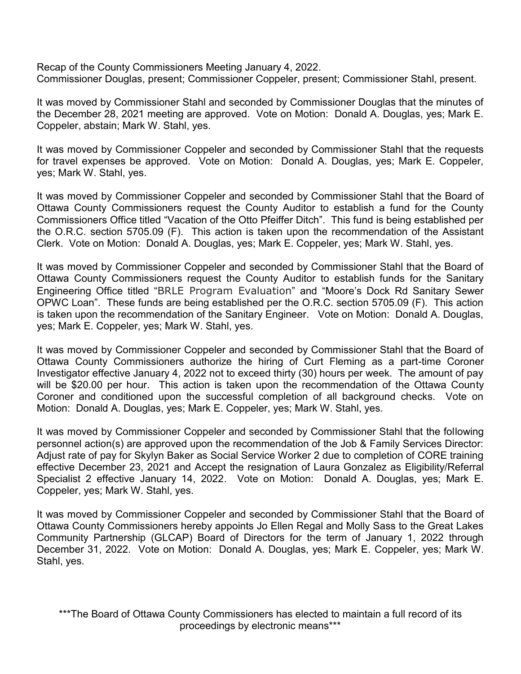Recap of the County Commissioners Meeting January 4, 2022. Commissioner Douglas, present; Commissioner Coppeler, present; Commissioner Stahl, present.

It was moved by Commissioner Stahl and seconded by Commissioner Douglas that the minutes of the December 28, 2021 meeting are approved. Vote on Motion: Donald A. Douglas, yes; Mark E. Coppeler, abstain; Mark W. Stahl, yes.

It was moved by Commissioner Coppeler and seconded by Commissioner Stahl that the requests for travel expenses be approved. Vote on Motion: Donald A. Douglas, yes; Mark E. Coppeler, yes; Mark W. Stahl, yes.

It was moved by Commissioner Coppeler and seconded by Commissioner Stahl that the Board of Ottawa County Commissioners request the County Auditor to establish a fund for the County Commissioners Office titled "Vacation of the Otto Pfeiffer Ditch". This fund is being established per the O.R.C. section 5705.09 (F). This action is taken upon the recommendation of the Assistant Clerk. Vote on Motion: Donald A. Douglas, yes; Mark E. Coppeler, yes; Mark W. Stahl, yes.

It was moved by Commissioner Coppeler and seconded by Commissioner Stahl that the Board of Ottawa County Commissioners request the County Auditor to establish funds for the Sanitary Engineering Office titled "BRLE Program Evaluation" and "Moore's Dock Rd Sanitary Sewer OPWC Loan". These funds are being established per the O.R.C. section 5705.09 (F). This action is taken upon the recommendation of the Sanitary Engineer. Vote on Motion: Donald A. Douglas, yes; Mark E. Coppeler, yes; Mark W. Stahl, yes.

It was moved by Commissioner Coppeler and seconded by Commissioner Stahl that the Board of Ottawa County Commissioners authorize the hiring of Curt Fleming as a part-time Coroner Investigator effective January 4, 2022 not to exceed thirty (30) hours per week. The amount of pay will be \$20.00 per hour. This action is taken upon the recommendation of the Ottawa County Coroner and conditioned upon the successful completion of all background checks. Vote on Motion: Donald A. Douglas, yes; Mark E. Coppeler, yes; Mark W. Stahl, yes.

It was moved by Commissioner Coppeler and seconded by Commissioner Stahl that the following personnel action(s) are approved upon the recommendation of the Job & Family Services Director: Adjust rate of pay for Skylyn Baker as Social Service Worker 2 due to completion of CORE training effective December 23, 2021 and Accept the resignation of Laura Gonzalez as Eligibility/Referral Specialist 2 effective January 14, 2022. Vote on Motion: Donald A. Douglas, yes; Mark E. Coppeler, yes; Mark W. Stahl, yes.

It was moved by Commissioner Coppeler and seconded by Commissioner Stahl that the Board of Ottawa County Commissioners hereby appoints Jo Ellen Regal and Molly Sass to the Great Lakes Community Partnership (GLCAP) Board of Directors for the term of January 1, 2022 through December 31, 2022. Vote on Motion: Donald A. Douglas, yes; Mark E. Coppeler, yes; Mark W. Stahl, yes.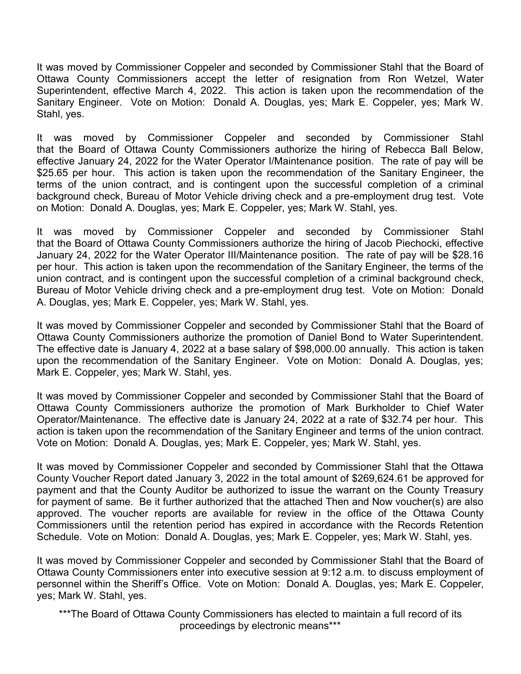It was moved by Commissioner Coppeler and seconded by Commissioner Stahl that the Board of Ottawa County Commissioners accept the letter of resignation from Ron Wetzel, Water Superintendent, effective March 4, 2022. This action is taken upon the recommendation of the Sanitary Engineer. Vote on Motion: Donald A. Douglas, yes; Mark E. Coppeler, yes; Mark W. Stahl, yes.

It was moved by Commissioner Coppeler and seconded by Commissioner Stahl that the Board of Ottawa County Commissioners authorize the hiring of Rebecca Ball Below, effective January 24, 2022 for the Water Operator I/Maintenance position. The rate of pay will be \$25.65 per hour. This action is taken upon the recommendation of the Sanitary Engineer, the terms of the union contract, and is contingent upon the successful completion of a criminal background check, Bureau of Motor Vehicle driving check and a pre-employment drug test. Vote on Motion: Donald A. Douglas, yes; Mark E. Coppeler, yes; Mark W. Stahl, yes.

It was moved by Commissioner Coppeler and seconded by Commissioner Stahl that the Board of Ottawa County Commissioners authorize the hiring of Jacob Piechocki, effective January 24, 2022 for the Water Operator III/Maintenance position. The rate of pay will be \$28.16 per hour. This action is taken upon the recommendation of the Sanitary Engineer, the terms of the union contract, and is contingent upon the successful completion of a criminal background check, Bureau of Motor Vehicle driving check and a pre-employment drug test. Vote on Motion: Donald A. Douglas, yes; Mark E. Coppeler, yes; Mark W. Stahl, yes.

It was moved by Commissioner Coppeler and seconded by Commissioner Stahl that the Board of Ottawa County Commissioners authorize the promotion of Daniel Bond to Water Superintendent. The effective date is January 4, 2022 at a base salary of \$98,000.00 annually. This action is taken upon the recommendation of the Sanitary Engineer. Vote on Motion: Donald A. Douglas, yes; Mark E. Coppeler, yes; Mark W. Stahl, yes.

It was moved by Commissioner Coppeler and seconded by Commissioner Stahl that the Board of Ottawa County Commissioners authorize the promotion of Mark Burkholder to Chief Water Operator/Maintenance. The effective date is January 24, 2022 at a rate of \$32.74 per hour. This action is taken upon the recommendation of the Sanitary Engineer and terms of the union contract. Vote on Motion: Donald A. Douglas, yes; Mark E. Coppeler, yes; Mark W. Stahl, yes.

It was moved by Commissioner Coppeler and seconded by Commissioner Stahl that the Ottawa County Voucher Report dated January 3, 2022 in the total amount of \$269,624.61 be approved for payment and that the County Auditor be authorized to issue the warrant on the County Treasury for payment of same. Be it further authorized that the attached Then and Now voucher(s) are also approved. The voucher reports are available for review in the office of the Ottawa County Commissioners until the retention period has expired in accordance with the Records Retention Schedule. Vote on Motion: Donald A. Douglas, yes; Mark E. Coppeler, yes; Mark W. Stahl, yes.

It was moved by Commissioner Coppeler and seconded by Commissioner Stahl that the Board of Ottawa County Commissioners enter into executive session at 9:12 a.m. to discuss employment of personnel within the Sheriff's Office. Vote on Motion: Donald A. Douglas, yes; Mark E. Coppeler, yes; Mark W. Stahl, yes.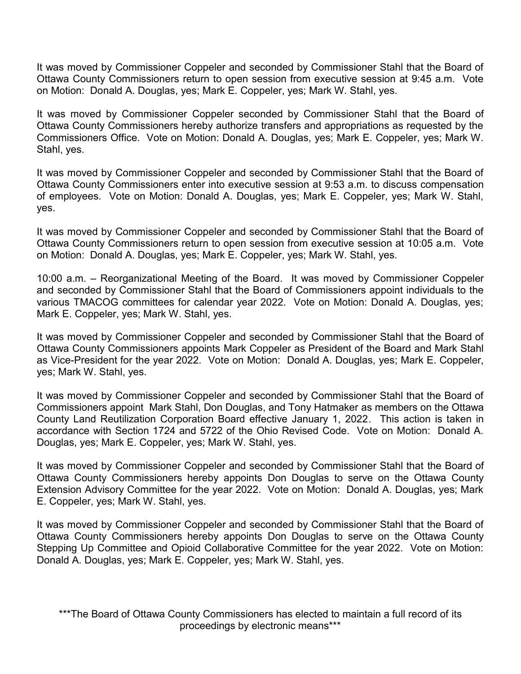It was moved by Commissioner Coppeler and seconded by Commissioner Stahl that the Board of Ottawa County Commissioners return to open session from executive session at 9:45 a.m. Vote on Motion: Donald A. Douglas, yes; Mark E. Coppeler, yes; Mark W. Stahl, yes.

It was moved by Commissioner Coppeler seconded by Commissioner Stahl that the Board of Ottawa County Commissioners hereby authorize transfers and appropriations as requested by the Commissioners Office. Vote on Motion: Donald A. Douglas, yes; Mark E. Coppeler, yes; Mark W. Stahl, yes.

It was moved by Commissioner Coppeler and seconded by Commissioner Stahl that the Board of Ottawa County Commissioners enter into executive session at 9:53 a.m. to discuss compensation of employees. Vote on Motion: Donald A. Douglas, yes; Mark E. Coppeler, yes; Mark W. Stahl, yes.

It was moved by Commissioner Coppeler and seconded by Commissioner Stahl that the Board of Ottawa County Commissioners return to open session from executive session at 10:05 a.m. Vote on Motion: Donald A. Douglas, yes; Mark E. Coppeler, yes; Mark W. Stahl, yes.

10:00 a.m. – Reorganizational Meeting of the Board. It was moved by Commissioner Coppeler and seconded by Commissioner Stahl that the Board of Commissioners appoint individuals to the various TMACOG committees for calendar year 2022. Vote on Motion: Donald A. Douglas, yes; Mark E. Coppeler, yes; Mark W. Stahl, yes.

It was moved by Commissioner Coppeler and seconded by Commissioner Stahl that the Board of Ottawa County Commissioners appoints Mark Coppeler as President of the Board and Mark Stahl as Vice-President for the year 2022. Vote on Motion: Donald A. Douglas, yes; Mark E. Coppeler, yes; Mark W. Stahl, yes.

It was moved by Commissioner Coppeler and seconded by Commissioner Stahl that the Board of Commissioners appoint Mark Stahl, Don Douglas, and Tony Hatmaker as members on the Ottawa County Land Reutilization Corporation Board effective January 1, 2022. This action is taken in accordance with Section 1724 and 5722 of the Ohio Revised Code. Vote on Motion: Donald A. Douglas, yes; Mark E. Coppeler, yes; Mark W. Stahl, yes.

It was moved by Commissioner Coppeler and seconded by Commissioner Stahl that the Board of Ottawa County Commissioners hereby appoints Don Douglas to serve on the Ottawa County Extension Advisory Committee for the year 2022. Vote on Motion: Donald A. Douglas, yes; Mark E. Coppeler, yes; Mark W. Stahl, yes.

It was moved by Commissioner Coppeler and seconded by Commissioner Stahl that the Board of Ottawa County Commissioners hereby appoints Don Douglas to serve on the Ottawa County Stepping Up Committee and Opioid Collaborative Committee for the year 2022. Vote on Motion: Donald A. Douglas, yes; Mark E. Coppeler, yes; Mark W. Stahl, yes.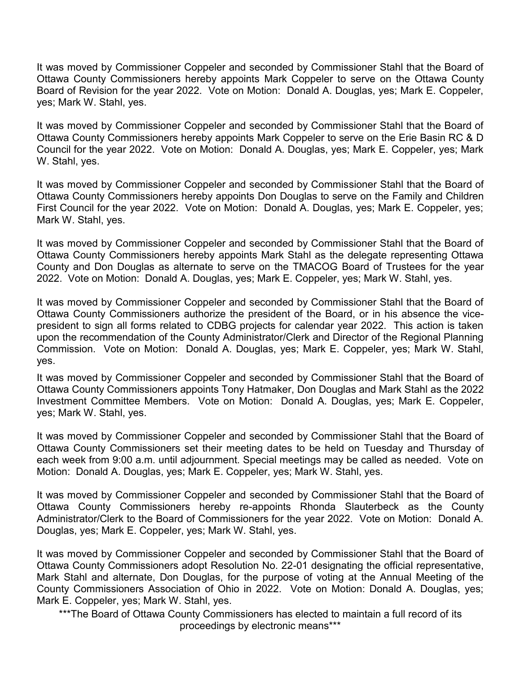It was moved by Commissioner Coppeler and seconded by Commissioner Stahl that the Board of Ottawa County Commissioners hereby appoints Mark Coppeler to serve on the Ottawa County Board of Revision for the year 2022. Vote on Motion: Donald A. Douglas, yes; Mark E. Coppeler, yes; Mark W. Stahl, yes.

It was moved by Commissioner Coppeler and seconded by Commissioner Stahl that the Board of Ottawa County Commissioners hereby appoints Mark Coppeler to serve on the Erie Basin RC & D Council for the year 2022. Vote on Motion: Donald A. Douglas, yes; Mark E. Coppeler, yes; Mark W. Stahl, yes.

It was moved by Commissioner Coppeler and seconded by Commissioner Stahl that the Board of Ottawa County Commissioners hereby appoints Don Douglas to serve on the Family and Children First Council for the year 2022. Vote on Motion: Donald A. Douglas, yes; Mark E. Coppeler, yes; Mark W. Stahl, yes.

It was moved by Commissioner Coppeler and seconded by Commissioner Stahl that the Board of Ottawa County Commissioners hereby appoints Mark Stahl as the delegate representing Ottawa County and Don Douglas as alternate to serve on the TMACOG Board of Trustees for the year 2022. Vote on Motion: Donald A. Douglas, yes; Mark E. Coppeler, yes; Mark W. Stahl, yes.

It was moved by Commissioner Coppeler and seconded by Commissioner Stahl that the Board of Ottawa County Commissioners authorize the president of the Board, or in his absence the vicepresident to sign all forms related to CDBG projects for calendar year 2022. This action is taken upon the recommendation of the County Administrator/Clerk and Director of the Regional Planning Commission. Vote on Motion: Donald A. Douglas, yes; Mark E. Coppeler, yes; Mark W. Stahl, yes.

It was moved by Commissioner Coppeler and seconded by Commissioner Stahl that the Board of Ottawa County Commissioners appoints Tony Hatmaker, Don Douglas and Mark Stahl as the 2022 Investment Committee Members. Vote on Motion: Donald A. Douglas, yes; Mark E. Coppeler, yes; Mark W. Stahl, yes.

It was moved by Commissioner Coppeler and seconded by Commissioner Stahl that the Board of Ottawa County Commissioners set their meeting dates to be held on Tuesday and Thursday of each week from 9:00 a.m. until adjournment. Special meetings may be called as needed. Vote on Motion: Donald A. Douglas, yes; Mark E. Coppeler, yes; Mark W. Stahl, yes.

It was moved by Commissioner Coppeler and seconded by Commissioner Stahl that the Board of Ottawa County Commissioners hereby re-appoints Rhonda Slauterbeck as the County Administrator/Clerk to the Board of Commissioners for the year 2022. Vote on Motion: Donald A. Douglas, yes; Mark E. Coppeler, yes; Mark W. Stahl, yes.

It was moved by Commissioner Coppeler and seconded by Commissioner Stahl that the Board of Ottawa County Commissioners adopt Resolution No. 22-01 designating the official representative, Mark Stahl and alternate, Don Douglas, for the purpose of voting at the Annual Meeting of the County Commissioners Association of Ohio in 2022. Vote on Motion: Donald A. Douglas, yes; Mark E. Coppeler, yes; Mark W. Stahl, yes.